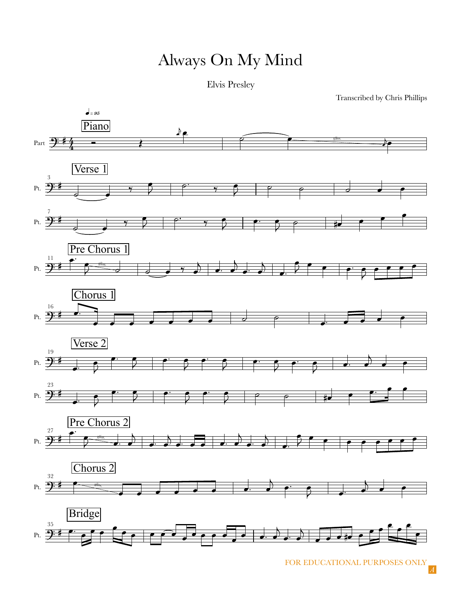## Always On My Mind

Elvis Presley

Transcribed by Chris Phillips